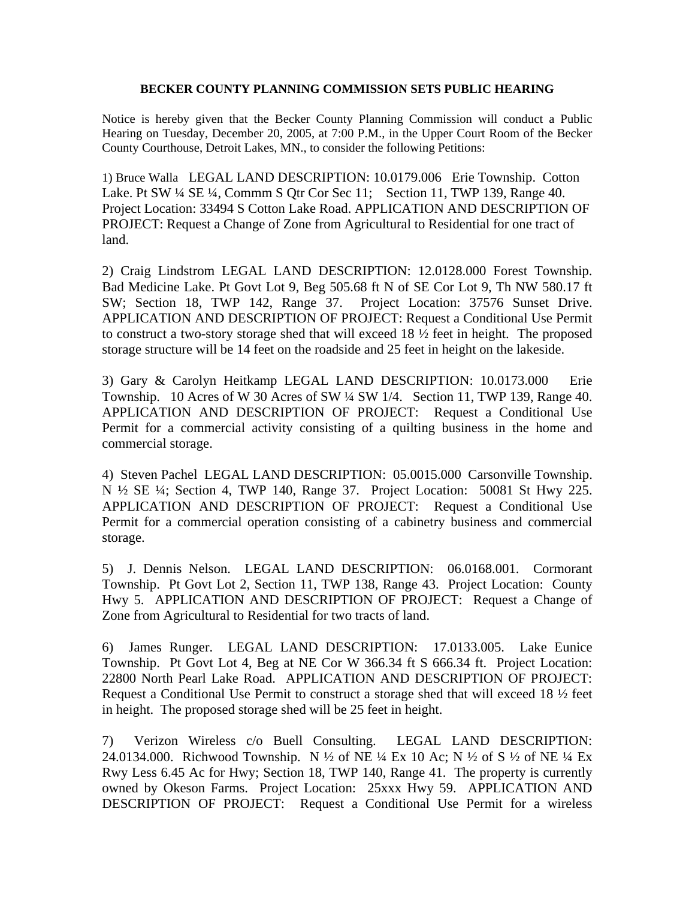## **BECKER COUNTY PLANNING COMMISSION SETS PUBLIC HEARING**

Notice is hereby given that the Becker County Planning Commission will conduct a Public Hearing on Tuesday, December 20, 2005, at 7:00 P.M., in the Upper Court Room of the Becker County Courthouse, Detroit Lakes, MN., to consider the following Petitions:

1) Bruce Walla LEGAL LAND DESCRIPTION: 10.0179.006 Erie Township. Cotton Lake. Pt SW ¼ SE ¼, Commm S Qtr Cor Sec 11; Section 11, TWP 139, Range 40. Project Location: 33494 S Cotton Lake Road. APPLICATION AND DESCRIPTION OF PROJECT: Request a Change of Zone from Agricultural to Residential for one tract of land.

2) Craig Lindstrom LEGAL LAND DESCRIPTION: 12.0128.000 Forest Township. Bad Medicine Lake. Pt Govt Lot 9, Beg 505.68 ft N of SE Cor Lot 9, Th NW 580.17 ft SW; Section 18, TWP 142, Range 37. Project Location: 37576 Sunset Drive. APPLICATION AND DESCRIPTION OF PROJECT: Request a Conditional Use Permit to construct a two-story storage shed that will exceed 18 ½ feet in height. The proposed storage structure will be 14 feet on the roadside and 25 feet in height on the lakeside.

3) Gary & Carolyn Heitkamp LEGAL LAND DESCRIPTION: 10.0173.000 Erie Township. 10 Acres of W 30 Acres of SW ¼ SW 1/4. Section 11, TWP 139, Range 40. APPLICATION AND DESCRIPTION OF PROJECT: Request a Conditional Use Permit for a commercial activity consisting of a quilting business in the home and commercial storage.

4) Steven Pachel LEGAL LAND DESCRIPTION: 05.0015.000 Carsonville Township. N ½ SE ¼; Section 4, TWP 140, Range 37. Project Location: 50081 St Hwy 225. APPLICATION AND DESCRIPTION OF PROJECT: Request a Conditional Use Permit for a commercial operation consisting of a cabinetry business and commercial storage.

5) J. Dennis Nelson. LEGAL LAND DESCRIPTION: 06.0168.001. Cormorant Township. Pt Govt Lot 2, Section 11, TWP 138, Range 43. Project Location: County Hwy 5. APPLICATION AND DESCRIPTION OF PROJECT: Request a Change of Zone from Agricultural to Residential for two tracts of land.

6) James Runger. LEGAL LAND DESCRIPTION: 17.0133.005. Lake Eunice Township. Pt Govt Lot 4, Beg at NE Cor W 366.34 ft S 666.34 ft. Project Location: 22800 North Pearl Lake Road. APPLICATION AND DESCRIPTION OF PROJECT: Request a Conditional Use Permit to construct a storage shed that will exceed 18 ½ feet in height. The proposed storage shed will be 25 feet in height.

7) Verizon Wireless c/o Buell Consulting. LEGAL LAND DESCRIPTION: 24.0134.000. Richwood Township. N ½ of NE ¼ Ex 10 Ac; N ½ of S ½ of NE ¼ Ex Rwy Less 6.45 Ac for Hwy; Section 18, TWP 140, Range 41. The property is currently owned by Okeson Farms. Project Location: 25xxx Hwy 59. APPLICATION AND DESCRIPTION OF PROJECT: Request a Conditional Use Permit for a wireless